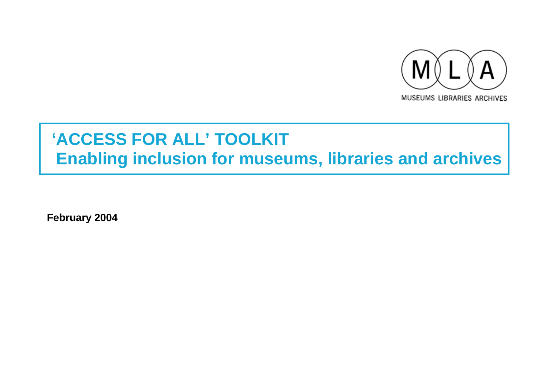

# **'ACCESS FOR ALL' TOOLKIT Enabling inclusion for museums, libraries and archives**

**February 2004**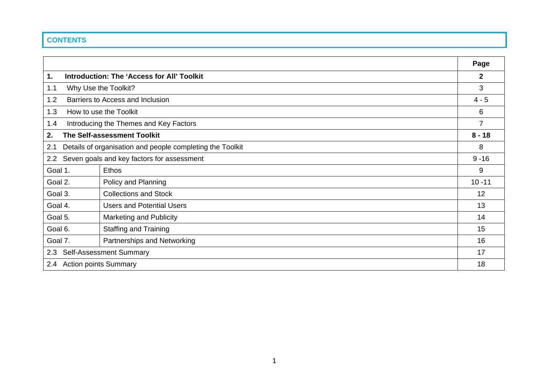# **CONTENTS**

|                                                                  |                                                   | Page      |  |  |  |  |
|------------------------------------------------------------------|---------------------------------------------------|-----------|--|--|--|--|
| 1.                                                               | <b>Introduction: The 'Access for All' Toolkit</b> |           |  |  |  |  |
| 1.1                                                              | Why Use the Toolkit?                              |           |  |  |  |  |
| 1.2                                                              | Barriers to Access and Inclusion                  |           |  |  |  |  |
| 1.3                                                              | How to use the Toolkit                            |           |  |  |  |  |
| Introducing the Themes and Key Factors<br>1.4                    |                                                   |           |  |  |  |  |
| 2.                                                               | The Self-assessment Toolkit                       |           |  |  |  |  |
| Details of organisation and people completing the Toolkit<br>2.1 |                                                   |           |  |  |  |  |
| Seven goals and key factors for assessment<br>2.2                |                                                   | $9 - 16$  |  |  |  |  |
| Goal 1.                                                          | <b>Ethos</b>                                      | 9         |  |  |  |  |
| Goal 2.                                                          | Policy and Planning                               | $10 - 11$ |  |  |  |  |
| Goal 3.                                                          | <b>Collections and Stock</b>                      | 12        |  |  |  |  |
| Goal 4.                                                          | <b>Users and Potential Users</b>                  | 13        |  |  |  |  |
| Goal 5.                                                          | <b>Marketing and Publicity</b>                    | 14        |  |  |  |  |
| Goal 6.                                                          | <b>Staffing and Training</b>                      | 15        |  |  |  |  |
| Goal 7.                                                          | Partnerships and Networking                       | 16        |  |  |  |  |
| 2.3                                                              | <b>Self-Assessment Summary</b>                    | 17        |  |  |  |  |
| 2.4                                                              | <b>Action points Summary</b>                      | 18        |  |  |  |  |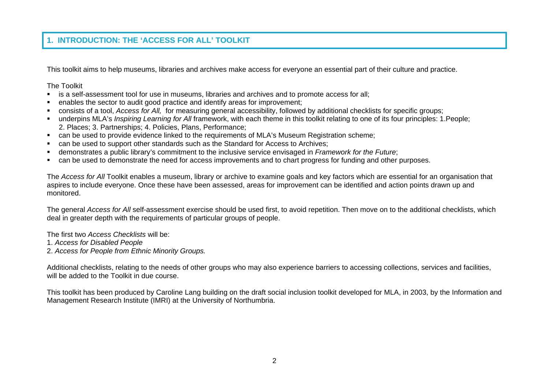# **1. INTRODUCTION: THE 'ACCESS FOR ALL' TOOLKIT**

This toolkit aims to help museums, libraries and archives make access for everyone an essential part of their culture and practice.

The Toolkit

- Г is a self-assessment tool for use in museums, libraries and archives and to promote access for all;
- $\blacksquare$ enables the sector to audit good practice and identify areas for improvement;
- $\blacksquare$ consists of a tool, *Access for All,* for measuring general accessibility, followed by additional checklists for specific groups;
- underpins MLA's *Inspiring Learning for All* framework, with each theme in this toolkit relating to one of its four principles: 1.People; 2. Places; 3. Partnerships; 4. Policies, Plans, Performance;
- $\blacksquare$ can be used to provide evidence linked to the requirements of MLA's Museum Registration scheme;
- $\blacksquare$ can be used to support other standards such as the Standard for Access to Archives;
- $\blacksquare$ demonstrates a public library's commitment to the inclusive service envisaged in *Framework for the Future*;
- $\blacksquare$ can be used to demonstrate the need for access improvements and to chart progress for funding and other purposes.

The *Access for All* Toolkit enables a museum, library or archive to examine goals and key factors which are essential for an organisation that aspires to include everyone. Once these have been assessed, areas for improvement can be identified and action points drawn up and monitored.

The general *Access for All* self-assessment exercise should be used first, to avoid repetition. Then move on to the additional checklists, which deal in greater depth with the requirements of particular groups of people.

The first two *Access Checklists* will be:

- 1. *Access for Disabled People*
- 2. *Access for People from Ethnic Minority Groups.*

Additional checklists, relating to the needs of other groups who may also experience barriers to accessing collections, services and facilities, will be added to the Toolkit in due course.

This toolkit has been produced by Caroline Lang building on the draft social inclusion toolkit developed for MLA, in 2003, by the Information and Management Research Institute (IMRI) at the University of Northumbria.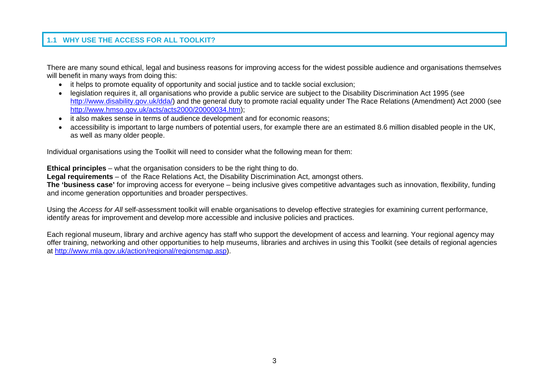## **1.1 WHY USE THE ACCESS FOR ALL TOOLKIT?**

There are many sound ethical, legal and business reasons for improving access for the widest possible audience and organisations themselves will benefit in many ways from doing this:

- it helps to promote equality of opportunity and social justice and to tackle social exclusion;
- legislation requires it, all organisations who provide a public service are subject to the Disability Discrimination Act 1995 (see http://www.disability.gov.uk/dda/) and the general duty to promote racial equality under The Race Relations (Amendment) Act 2000 (see http://www.hmso.gov.uk/acts/acts2000/20000034.htm);
- it also makes sense in terms of audience development and for economic reasons;
- •accessibility is important to large numbers of potential users, for example there are an estimated 8.6 million disabled people in the UK. as well as many older people.

Individual organisations using the Toolkit will need to consider what the following mean for them:

**Ethical principles** – what the organisation considers to be the right thing to do.

**Legal requirements** – of the Race Relations Act, the Disability Discrimination Act, amongst others.

**The 'business case'** for improving access for everyone – being inclusive gives competitive advantages such as innovation, flexibility, funding and income generation opportunities and broader perspectives.

Using the *Access for All* self-assessment toolkit will enable organisations to develop effective strategies for examining current performance, identify areas for improvement and develop more accessible and inclusive policies and practices.

Each regional museum, library and archive agency has staff who support the development of access and learning. Your regional agency may offer training, networking and other opportunities to help museums, libraries and archives in using this Toolkit (see details of regional agencies at http://www.mla.gov.uk/action/regional/regionsmap.asp).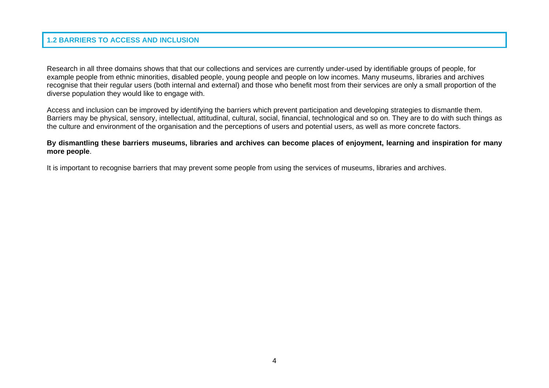#### **1.2 BARRIERS TO ACCESS AND INCLUSION**

Research in all three domains shows that that our collections and services are currently under-used by identifiable groups of people, for example people from ethnic minorities, disabled people, young people and people on low incomes. Many museums, libraries and archives recognise that their regular users (both internal and external) and those who benefit most from their services are only a small proportion of the diverse population they would like to engage with.

Access and inclusion can be improved by identifying the barriers which prevent participation and developing strategies to dismantle them. Barriers may be physical, sensory, intellectual, attitudinal, cultural, social, financial, technological and so on. They are to do with such things as the culture and environment of the organisation and the perceptions of users and potential users, as well as more concrete factors.

#### **By dismantling these barriers museums, libraries and archives can become places of enjoyment, learning and inspiration for many more people**.

It is important to recognise barriers that may prevent some people from using the services of museums, libraries and archives.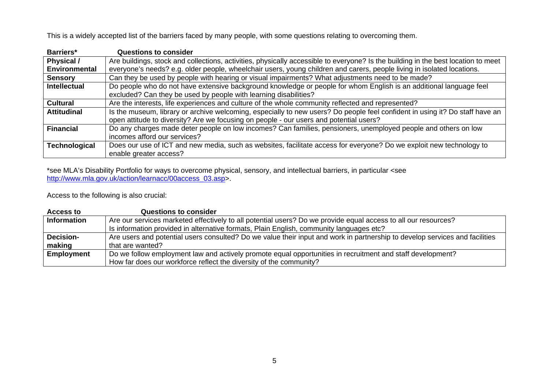This is a widely accepted list of the barriers faced by many people, with some questions relating to overcoming them.

| Barriers*            | <b>Questions to consider</b>                                                                                                                                                                                           |
|----------------------|------------------------------------------------------------------------------------------------------------------------------------------------------------------------------------------------------------------------|
| Physical /           | Are buildings, stock and collections, activities, physically accessible to everyone? Is the building in the best location to meet                                                                                      |
| <b>Environmental</b> | everyone's needs? e.g. older people, wheelchair users, young children and carers, people living in isolated locations.                                                                                                 |
| <b>Sensory</b>       | Can they be used by people with hearing or visual impairments? What adjustments need to be made?                                                                                                                       |
| <b>Intellectual</b>  | Do people who do not have extensive background knowledge or people for whom English is an additional language feel                                                                                                     |
|                      | excluded? Can they be used by people with learning disabilities?                                                                                                                                                       |
| <b>Cultural</b>      | Are the interests, life experiences and culture of the whole community reflected and represented?                                                                                                                      |
| <b>Attitudinal</b>   | Is the museum, library or archive welcoming, especially to new users? Do people feel confident in using it? Do staff have an<br>open attitude to diversity? Are we focusing on people - our users and potential users? |
|                      |                                                                                                                                                                                                                        |
| <b>Financial</b>     | Do any charges made deter people on low incomes? Can families, pensioners, unemployed people and others on low                                                                                                         |
|                      | incomes afford our services?                                                                                                                                                                                           |
| <b>Technological</b> | Does our use of ICT and new media, such as websites, facilitate access for everyone? Do we exploit new technology to                                                                                                   |
|                      | enable greater access?                                                                                                                                                                                                 |

\*see MLA's Disability Portfolio for ways to overcome physical, sensory, and intellectual barriers, in particular <see http://www.mla.gov.uk/action/learnacc/00access\_03.asp>.

Access to the following is also crucial:

| <b>Access to</b>   | <b>Questions to consider</b>                                                                                                |
|--------------------|-----------------------------------------------------------------------------------------------------------------------------|
| <b>Information</b> | Are our services marketed effectively to all potential users? Do we provide equal access to all our resources?              |
|                    | Is information provided in alternative formats, Plain English, community languages etc?                                     |
| <b>Decision-</b>   | Are users and potential users consulted? Do we value their input and work in partnership to develop services and facilities |
| making             | that are wanted?                                                                                                            |
| <b>Employment</b>  | Do we follow employment law and actively promote equal opportunities in recruitment and staff development?                  |
|                    | How far does our workforce reflect the diversity of the community?                                                          |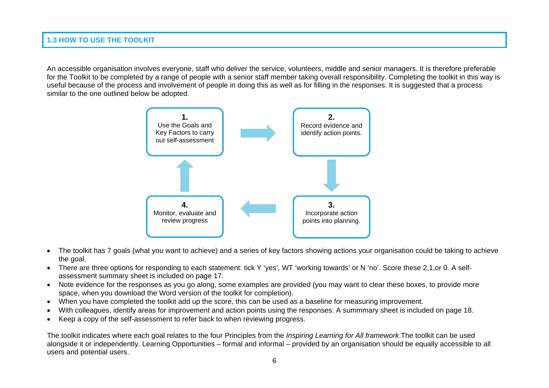#### **1.3 HOW TO USE THE TOOLKIT**

An accessible organisation involves everyone, staff who deliver the service, volunteers, middle and senior managers. It is therefore preferable for the Toolkit to be completed by a range of people with a senior staff member taking overall responsibility. Completing the toolkit in this way is useful because of the process and involvement of people in doing this as well as for filling in the responses. It is suggested that a process similar to the one outlined below be adopted.



- • The toolkit has 7 goals (what you want to achieve) and a series of key factors showing actions your organisation could be taking to achieve the goal.
- There are three options for responding to each statement: tick Y 'yes', WT 'working towards' or N 'no'. Score these 2,1,or 0. A selfassessment summary sheet is included on page 17.
- • Note evidence for the responses as you go along, some examples are provided (you may want to clear these boxes, to provide more space, when you download the Word version of the toolkit for completion).
- •When you have completed the toolkit add up the score, this can be used as a baseline for measuring improvement.
- •With colleagues, identify areas for improvement and action points using the responses. A summmary sheet is included on page 18.
- •Keep a copy of the self-assessment to refer back to when reviewing progress.

The toolkit indicates where each goal relates to the four Principles from the *Inspiring Learning for All framework*.The toolkit can be used alongside it or independently. Learning Opportunities – formal and informal – provided by an organisation should be equally accessible to all users and potential users.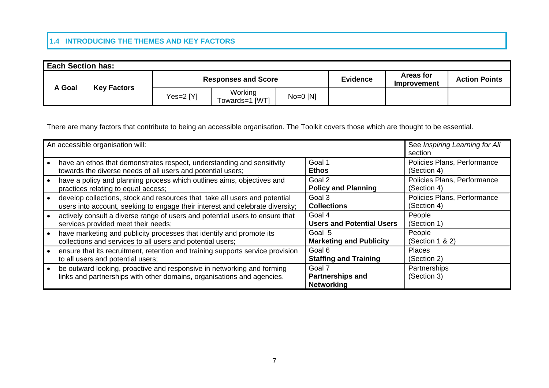### **1.4 INTRODUCING THE THEMES AND KEY FACTORS**

| <b>Each Section has:</b> |                    |              |                            |            |                 |                                        |                      |  |
|--------------------------|--------------------|--------------|----------------------------|------------|-----------------|----------------------------------------|----------------------|--|
| A Goal                   |                    |              | <b>Responses and Score</b> |            | <b>Evidence</b> | <b>Areas for</b><br><b>Improvement</b> | <b>Action Points</b> |  |
|                          | <b>Key Factors</b> | Yes= $2$ [Y] | Working<br>Towards=1 [WT]  | $No=0$ [N] |                 |                                        |                      |  |

There are many factors that contribute to being an accessible organisation. The Toolkit covers those which are thought to be essential.

| An accessible organisation will:                                                                                                                 |                                                        | See Inspiring Learning for All<br>section |
|--------------------------------------------------------------------------------------------------------------------------------------------------|--------------------------------------------------------|-------------------------------------------|
| have an ethos that demonstrates respect, understanding and sensitivity                                                                           | Goal 1                                                 | Policies Plans, Performance               |
| towards the diverse needs of all users and potential users;                                                                                      | Ethos                                                  | (Section 4)                               |
| have a policy and planning process which outlines aims, objectives and                                                                           | Goal 2                                                 | Policies Plans, Performance               |
| practices relating to equal access;                                                                                                              | <b>Policy and Planning</b>                             | (Section 4)                               |
| develop collections, stock and resources that take all users and potential                                                                       | Goal 3                                                 | Policies Plans, Performance               |
| users into account, seeking to engage their interest and celebrate diversity;                                                                    | <b>Collections</b>                                     | (Section 4)                               |
| actively consult a diverse range of users and potential users to ensure that                                                                     | Goal 4                                                 | People                                    |
| services provided meet their needs;                                                                                                              | <b>Users and Potential Users</b>                       | (Section 1)                               |
| have marketing and publicity processes that identify and promote its                                                                             | Goal 5                                                 | People                                    |
| collections and services to all users and potential users;                                                                                       | <b>Marketing and Publicity</b>                         | (Section $1 & 2$ )                        |
| ensure that its recruitment, retention and training supports service provision                                                                   | Goal 6                                                 | <b>Places</b>                             |
| to all users and potential users;                                                                                                                | <b>Staffing and Training</b>                           | (Section 2)                               |
| be outward looking, proactive and responsive in networking and forming<br>links and partnerships with other domains, organisations and agencies. | Goal 7<br><b>Partnerships and</b><br><b>Networking</b> | Partnerships<br>(Section 3)               |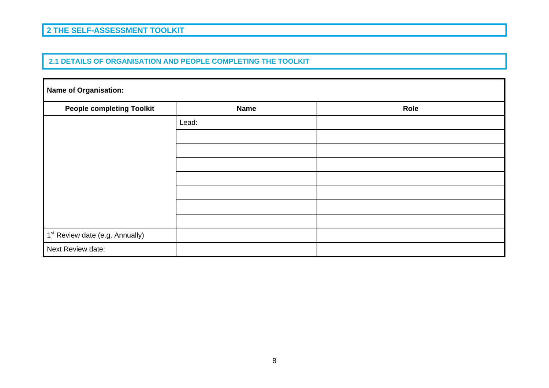## **2 THE SELF-ASSESSMENT TOOLKIT**

#### **2.1 DETAILS OF ORGANISATION AND PEOPLE COMPLETING THE TOOLKIT**

| Name of Organisation:                       |             |      |  |  |  |  |  |  |
|---------------------------------------------|-------------|------|--|--|--|--|--|--|
| <b>People completing Toolkit</b>            | <b>Name</b> | Role |  |  |  |  |  |  |
|                                             | Lead:       |      |  |  |  |  |  |  |
|                                             |             |      |  |  |  |  |  |  |
|                                             |             |      |  |  |  |  |  |  |
|                                             |             |      |  |  |  |  |  |  |
|                                             |             |      |  |  |  |  |  |  |
|                                             |             |      |  |  |  |  |  |  |
|                                             |             |      |  |  |  |  |  |  |
|                                             |             |      |  |  |  |  |  |  |
| 1 <sup>st</sup> Review date (e.g. Annually) |             |      |  |  |  |  |  |  |
| Next Review date:                           |             |      |  |  |  |  |  |  |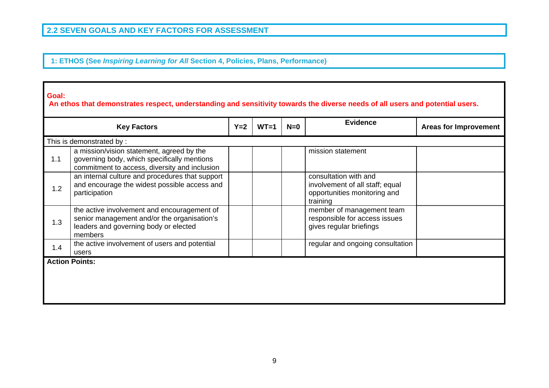**1: ETHOS (See** *Inspiring Learning for All* **Section 4, Policies, Plans, Performance)**

#### **Goal:**

 **An ethos that demonstrates respect, understanding and sensitivity towards the diverse needs of all users and potential users.**

|                       | <b>Key Factors</b>                                                                                                                             | $Y=2$ | $WT=1$ | $N=0$ | <b>Evidence</b>                                                                                      | <b>Areas for Improvement</b> |
|-----------------------|------------------------------------------------------------------------------------------------------------------------------------------------|-------|--------|-------|------------------------------------------------------------------------------------------------------|------------------------------|
|                       | This is demonstrated by:                                                                                                                       |       |        |       |                                                                                                      |                              |
| 1.1                   | a mission/vision statement, agreed by the<br>governing body, which specifically mentions<br>commitment to access, diversity and inclusion      |       |        |       | mission statement                                                                                    |                              |
| 1.2                   | an internal culture and procedures that support<br>and encourage the widest possible access and<br>participation                               |       |        |       | consultation with and<br>involvement of all staff; equal<br>opportunities monitoring and<br>training |                              |
| 1.3                   | the active involvement and encouragement of<br>senior management and/or the organisation's<br>leaders and governing body or elected<br>members |       |        |       | member of management team<br>responsible for access issues<br>gives regular briefings                |                              |
| 1.4                   | the active involvement of users and potential<br>users                                                                                         |       |        |       | regular and ongoing consultation                                                                     |                              |
| <b>Action Points:</b> |                                                                                                                                                |       |        |       |                                                                                                      |                              |
|                       |                                                                                                                                                |       |        |       |                                                                                                      |                              |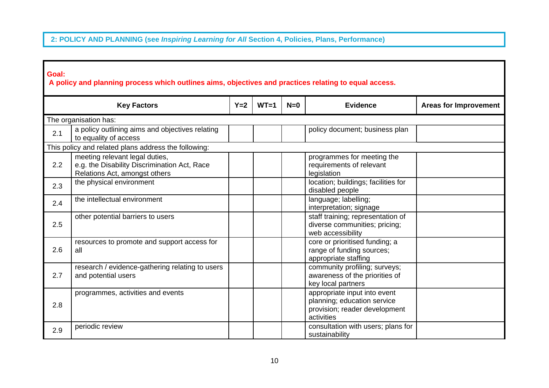# **2: POLICY AND PLANNING (see** *Inspiring Learning for All* **Section 4, Policies, Plans, Performance)**

| Goal: | A policy and planning process which outlines aims, objectives and practices relating to equal access.           |       |        |       |                                                                                                            |                              |
|-------|-----------------------------------------------------------------------------------------------------------------|-------|--------|-------|------------------------------------------------------------------------------------------------------------|------------------------------|
|       | <b>Key Factors</b>                                                                                              | $Y=2$ | $WT=1$ | $N=0$ | <b>Evidence</b>                                                                                            | <b>Areas for Improvement</b> |
|       | The organisation has:                                                                                           |       |        |       |                                                                                                            |                              |
| 2.1   | a policy outlining aims and objectives relating<br>to equality of access                                        |       |        |       | policy document; business plan                                                                             |                              |
|       | This policy and related plans address the following:                                                            |       |        |       |                                                                                                            |                              |
| 2.2   | meeting relevant legal duties,<br>e.g. the Disability Discrimination Act, Race<br>Relations Act, amongst others |       |        |       | programmes for meeting the<br>requirements of relevant<br>legislation                                      |                              |
| 2.3   | the physical environment                                                                                        |       |        |       | location; buildings; facilities for<br>disabled people                                                     |                              |
| 2.4   | the intellectual environment                                                                                    |       |        |       | language; labelling;<br>interpretation; signage                                                            |                              |
| 2.5   | other potential barriers to users                                                                               |       |        |       | staff training; representation of<br>diverse communities; pricing;<br>web accessibility                    |                              |
| 2.6   | resources to promote and support access for<br>all                                                              |       |        |       | core or prioritised funding; a<br>range of funding sources;<br>appropriate staffing                        |                              |
| 2.7   | research / evidence-gathering relating to users<br>and potential users                                          |       |        |       | community profiling; surveys;<br>awareness of the priorities of<br>key local partners                      |                              |
| 2.8   | programmes, activities and events                                                                               |       |        |       | appropriate input into event<br>planning; education service<br>provision; reader development<br>activities |                              |
| 2.9   | periodic review                                                                                                 |       |        |       | consultation with users; plans for<br>sustainability                                                       |                              |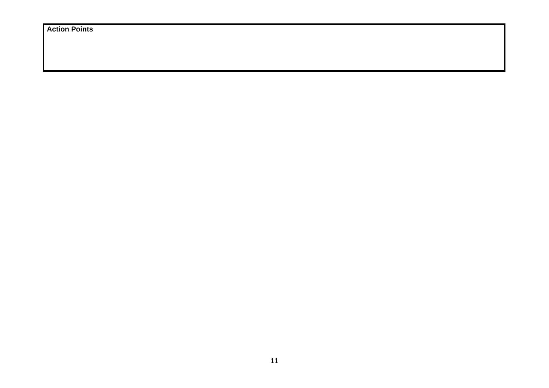**Action Points**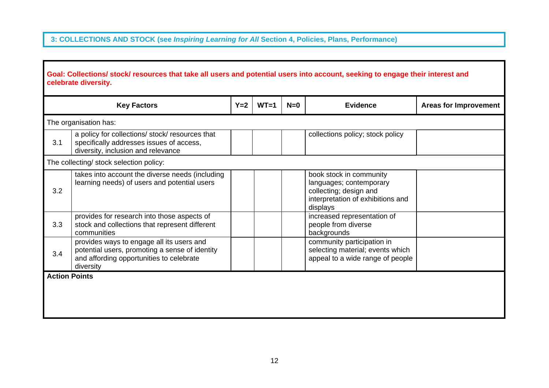# **3: COLLECTIONS AND STOCK (see** *Inspiring Learning for All* **Section 4, Policies, Plans, Performance)**

|     | <b>Key Factors</b>                                                                                                                                   | $Y=2$ | $WT=1$ | $N=0$ | <b>Evidence</b>                                                                                                               | <b>Areas for Improvement</b> |
|-----|------------------------------------------------------------------------------------------------------------------------------------------------------|-------|--------|-------|-------------------------------------------------------------------------------------------------------------------------------|------------------------------|
|     | The organisation has:                                                                                                                                |       |        |       |                                                                                                                               |                              |
| 3.1 | a policy for collections/ stock/ resources that<br>specifically addresses issues of access,<br>diversity, inclusion and relevance                    |       |        |       | collections policy; stock policy                                                                                              |                              |
|     | The collecting/ stock selection policy:                                                                                                              |       |        |       |                                                                                                                               |                              |
| 3.2 | takes into account the diverse needs (including<br>learning needs) of users and potential users                                                      |       |        |       | book stock in community<br>languages; contemporary<br>collecting; design and<br>interpretation of exhibitions and<br>displays |                              |
| 3.3 | provides for research into those aspects of<br>stock and collections that represent different<br>communities                                         |       |        |       | increased representation of<br>people from diverse<br>backgrounds                                                             |                              |
| 3.4 | provides ways to engage all its users and<br>potential users, promoting a sense of identity<br>and affording opportunities to celebrate<br>diversity |       |        |       | community participation in<br>selecting material; events which<br>appeal to a wide range of people                            |                              |
|     | <b>Action Points</b>                                                                                                                                 |       |        |       |                                                                                                                               |                              |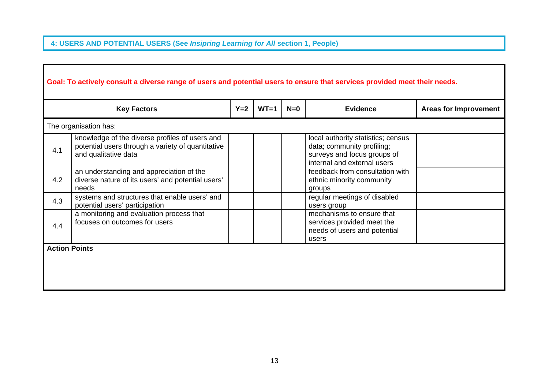# **4: USERS AND POTENTIAL USERS (See** *Insipring Learning for All* **section 1, People)**

|     | <b>Key Factors</b>                                                                                                          | $Y=2$ | $WT=1$ | $N=0$ | <b>Evidence</b>                                                                                                                | <b>Areas for Improvement</b> |
|-----|-----------------------------------------------------------------------------------------------------------------------------|-------|--------|-------|--------------------------------------------------------------------------------------------------------------------------------|------------------------------|
|     | The organisation has:                                                                                                       |       |        |       |                                                                                                                                |                              |
| 4.1 | knowledge of the diverse profiles of users and<br>potential users through a variety of quantitative<br>and qualitative data |       |        |       | local authority statistics; census<br>data; community profiling;<br>surveys and focus groups of<br>internal and external users |                              |
| 4.2 | an understanding and appreciation of the<br>diverse nature of its users' and potential users'<br>needs                      |       |        |       | feedback from consultation with<br>ethnic minority community<br>groups                                                         |                              |
| 4.3 | systems and structures that enable users' and<br>potential users' participation                                             |       |        |       | regular meetings of disabled<br>users group                                                                                    |                              |
| 4.4 | a monitoring and evaluation process that<br>focuses on outcomes for users                                                   |       |        |       | mechanisms to ensure that<br>services provided meet the<br>needs of users and potential<br>users                               |                              |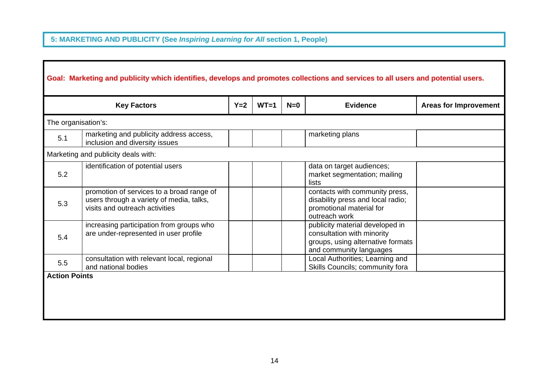# **5: MARKETING AND PUBLICITY (See** *Inspiring Learning for All* **section 1, People)**

|                      | <b>Key Factors</b>                                                                                                      | $Y=2$ | $WT=1$ | $N=0$ | <b>Evidence</b>                                                                                                               | <b>Areas for Improvement</b> |
|----------------------|-------------------------------------------------------------------------------------------------------------------------|-------|--------|-------|-------------------------------------------------------------------------------------------------------------------------------|------------------------------|
|                      | The organisation's:                                                                                                     |       |        |       |                                                                                                                               |                              |
| 5.1                  | marketing and publicity address access,<br>inclusion and diversity issues                                               |       |        |       | marketing plans                                                                                                               |                              |
|                      | Marketing and publicity deals with:                                                                                     |       |        |       |                                                                                                                               |                              |
| 5.2                  | identification of potential users                                                                                       |       |        |       | data on target audiences;<br>market segmentation; mailing<br>lists                                                            |                              |
| 5.3                  | promotion of services to a broad range of<br>users through a variety of media, talks,<br>visits and outreach activities |       |        |       | contacts with community press,<br>disability press and local radio;<br>promotional material for<br>outreach work              |                              |
| 5.4                  | increasing participation from groups who<br>are under-represented in user profile                                       |       |        |       | publicity material developed in<br>consultation with minority<br>groups, using alternative formats<br>and community languages |                              |
| 5.5                  | consultation with relevant local, regional<br>and national bodies                                                       |       |        |       | Local Authorities; Learning and<br>Skills Councils; community fora                                                            |                              |
| <b>Action Points</b> |                                                                                                                         |       |        |       |                                                                                                                               |                              |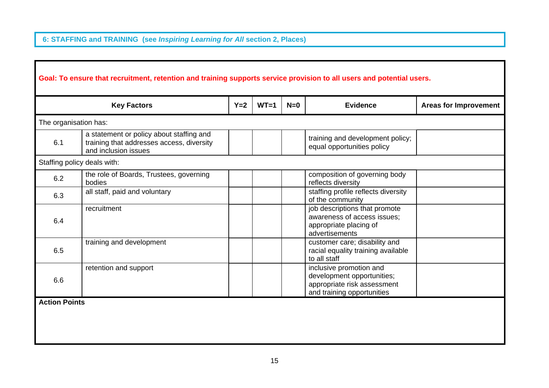**6: STAFFING and TRAINING (see** *Inspiring Learning for All* **section 2, Places)** 

|                       | Goal: To ensure that recruitment, retention and training supports service provision to all users and potential users. |       |        |       |                                                                                                                    |                              |
|-----------------------|-----------------------------------------------------------------------------------------------------------------------|-------|--------|-------|--------------------------------------------------------------------------------------------------------------------|------------------------------|
|                       | <b>Key Factors</b>                                                                                                    | $Y=2$ | $WT=1$ | $N=0$ | <b>Evidence</b>                                                                                                    | <b>Areas for Improvement</b> |
| The organisation has: |                                                                                                                       |       |        |       |                                                                                                                    |                              |
| 6.1                   | a statement or policy about staffing and<br>training that addresses access, diversity<br>and inclusion issues         |       |        |       | training and development policy;<br>equal opportunities policy                                                     |                              |
|                       | Staffing policy deals with:                                                                                           |       |        |       |                                                                                                                    |                              |
| 6.2                   | the role of Boards, Trustees, governing<br>bodies                                                                     |       |        |       | composition of governing body<br>reflects diversity                                                                |                              |
| 6.3                   | all staff, paid and voluntary                                                                                         |       |        |       | staffing profile reflects diversity<br>of the community                                                            |                              |
| 6.4                   | recruitment                                                                                                           |       |        |       | job descriptions that promote<br>awareness of access issues;<br>appropriate placing of<br>advertisements           |                              |
| 6.5                   | training and development                                                                                              |       |        |       | customer care; disability and<br>racial equality training available<br>to all staff                                |                              |
| 6.6                   | retention and support                                                                                                 |       |        |       | inclusive promotion and<br>development opportunities;<br>appropriate risk assessment<br>and training opportunities |                              |
| <b>Action Points</b>  |                                                                                                                       |       |        |       |                                                                                                                    |                              |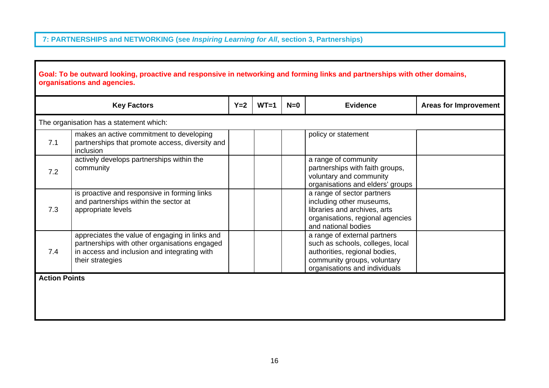# **7: PARTNERSHIPS and NETWORKING (see** *Inspiring Learning for All***, section 3, Partnerships)**

| <b>Key Factors</b>   |                                                                                                                                                                     | $Y=2$ | $WT=1$ | $N=0$ | <b>Evidence</b>                                                                                                                                                   | <b>Areas for Improvement</b> |
|----------------------|---------------------------------------------------------------------------------------------------------------------------------------------------------------------|-------|--------|-------|-------------------------------------------------------------------------------------------------------------------------------------------------------------------|------------------------------|
|                      | The organisation has a statement which:                                                                                                                             |       |        |       |                                                                                                                                                                   |                              |
| 7.1                  | makes an active commitment to developing<br>partnerships that promote access, diversity and<br>inclusion                                                            |       |        |       | policy or statement                                                                                                                                               |                              |
| 7.2                  | actively develops partnerships within the<br>community                                                                                                              |       |        |       | a range of community<br>partnerships with faith groups,<br>voluntary and community<br>organisations and elders' groups                                            |                              |
| 7.3                  | is proactive and responsive in forming links<br>and partnerships within the sector at<br>appropriate levels                                                         |       |        |       | a range of sector partners<br>including other museums,<br>libraries and archives, arts<br>organisations, regional agencies<br>and national bodies                 |                              |
| 7.4                  | appreciates the value of engaging in links and<br>partnerships with other organisations engaged<br>in access and inclusion and integrating with<br>their strategies |       |        |       | a range of external partners<br>such as schools, colleges, local<br>authorities, regional bodies,<br>community groups, voluntary<br>organisations and individuals |                              |
| <b>Action Points</b> |                                                                                                                                                                     |       |        |       |                                                                                                                                                                   |                              |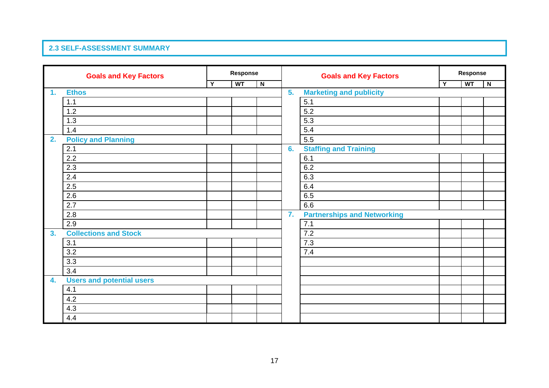#### **2.3 SELF-ASSESSMENT SUMMARY**

| <b>Goals and Key Factors</b> |                                  | Response |           | <b>Goals and Key Factors</b> |                | Response                           |  |           |                         |  |
|------------------------------|----------------------------------|----------|-----------|------------------------------|----------------|------------------------------------|--|-----------|-------------------------|--|
|                              |                                  | Y        | <b>WT</b> | $\overline{\mathbf{N}}$      |                |                                    |  | <b>WT</b> | $\overline{\mathsf{N}}$ |  |
| 1.                           | <b>Ethos</b>                     |          |           |                              | 5.             | <b>Marketing and publicity</b>     |  |           |                         |  |
|                              | $1.1$                            |          |           |                              |                | 5.1                                |  |           |                         |  |
|                              | $1.2$                            |          |           |                              |                | 5.2                                |  |           |                         |  |
|                              | 1.3                              |          |           |                              |                | 5.3                                |  |           |                         |  |
|                              | 1.4                              |          |           |                              |                | 5.4                                |  |           |                         |  |
| 2.                           | <b>Policy and Planning</b>       |          |           |                              |                | 5.5                                |  |           |                         |  |
|                              | 2.1                              |          |           |                              | 6.             | <b>Staffing and Training</b>       |  |           |                         |  |
|                              | 2.2                              |          |           |                              |                | 6.1                                |  |           |                         |  |
|                              | 2.3                              |          |           |                              |                | 6.2                                |  |           |                         |  |
|                              | 2.4                              |          |           |                              |                | 6.3                                |  |           |                         |  |
|                              | 2.5                              |          |           |                              |                | 6.4                                |  |           |                         |  |
|                              | 2.6                              |          |           |                              |                | 6.5                                |  |           |                         |  |
|                              | 2.7                              |          |           |                              |                | 6.6                                |  |           |                         |  |
|                              | 2.8                              |          |           |                              | $\mathbf{7}$ . | <b>Partnerships and Networking</b> |  |           |                         |  |
|                              | 2.9                              |          |           |                              |                | 7.1                                |  |           |                         |  |
| 3 <sub>1</sub>               | <b>Collections and Stock</b>     |          |           |                              |                | 7.2                                |  |           |                         |  |
|                              | 3.1                              |          |           |                              |                | 7.3                                |  |           |                         |  |
|                              | 3.2                              |          |           |                              |                | 7.4                                |  |           |                         |  |
|                              | 3.3                              |          |           |                              |                |                                    |  |           |                         |  |
|                              | 3.4                              |          |           |                              |                |                                    |  |           |                         |  |
| 4.                           | <b>Users and potential users</b> |          |           |                              |                |                                    |  |           |                         |  |
|                              | 4.1                              |          |           |                              |                |                                    |  |           |                         |  |
|                              | 4.2                              |          |           |                              |                |                                    |  |           |                         |  |
|                              | 4.3                              |          |           |                              |                |                                    |  |           |                         |  |
|                              | 4.4                              |          |           |                              |                |                                    |  |           |                         |  |